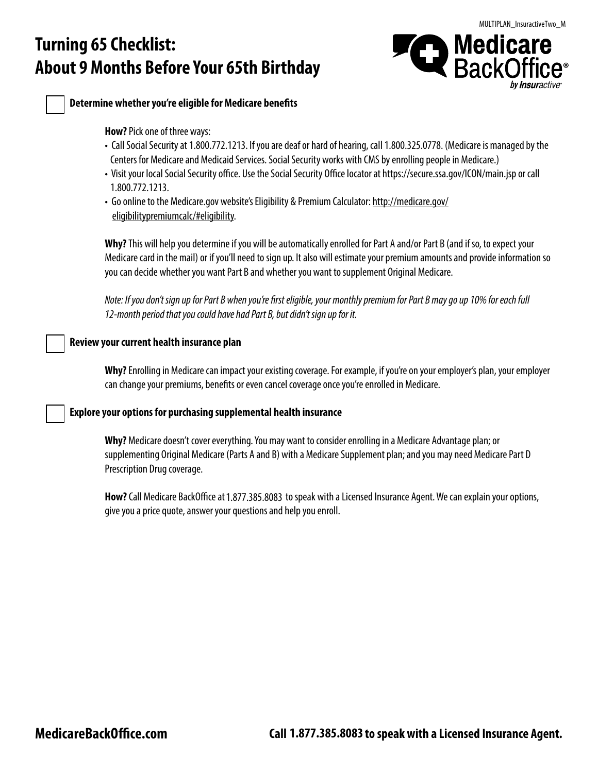# **Turning 65 Checklist: About 9 Months Before Your 65th Birthday**





**Determine whether you're eligible for Medicare benefits** 

**How?** Pick one of three ways:

- Call Social Security at 1.800.772.1213. If you are deaf or hard of hearing, call 1.800.325.0778. (Medicare is managed by the Centers for Medicare and Medicaid Services. Social Security works with CMS by enrolling people in Medicare.)
- Visit your local Social Security office. Use the Social Security Office locator at https://secure.ssa.gov/ICON/main.jsp or call 1.800.772.1213.
- Go online to the Medicare.gov website's Eligibility & Premium Calculator: <u>[http://medicare.gov/](https://www.medicare.gov/eligibilitypremiumcalc/#eligibility)</u> [eligibilitypremiumcalc/#eligibility](https://www.medicare.gov/eligibilitypremiumcalc/#eligibility).

**Why?** This will help you determine if you will be automatically enrolled for Part A and/or Part B (and if so, to expect your Medicare card in the mail) or if you'll need to sign up. It also will estimate your premium amounts and provide information so you can decide whether you want Part B and whether you want to supplement Original Medicare.

*Note: If you don't sign up for Part B when you're first eligible, your monthly premium for Part B may go up 10% for each full 12-month period that you could have had Part B, but didn't sign up for it.*

### **Review your current health insurance plan**

**Why?** Enrolling in Medicare can impact your existing coverage. For example, if you're on your employer's plan, your employer can change your premiums, benefits or even cancel coverage once you're enrolled in Medicare.

### **Explore your options for purchasing supplemental health insurance**

**Why?** Medicare doesn't cover everything. You may want to consider enrolling in a Medicare Advantage plan; or supplementing Original Medicare (Parts A and B) with a Medicare Supplement plan; and you may need Medicare Part D Prescription Drug coverage.

**How?** Call Medicare BackOffice at 1.877.385.8083 to speak with a Licensed Insurance Agent. We can explain your options, give you a price quote, answer your questions and help you enroll.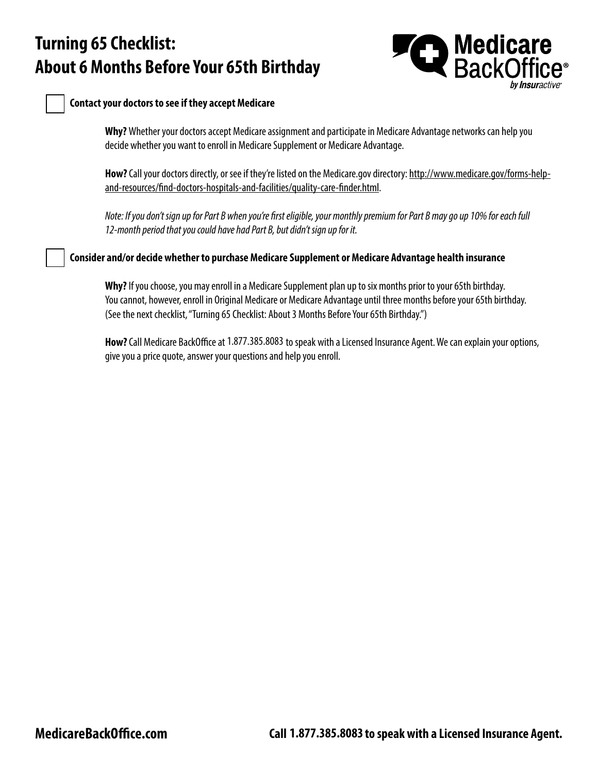## **Turning 65 Checklist: About 6 Months Before Your 65th Birthday**



#### **Contact your doctors to see if they accept Medicare**

**Why?** Whether your doctors accept Medicare assignment and participate in Medicare Advantage networks can help you decide whether you want to enroll in Medicare Supplement or Medicare Advantage.

**How?** Call your doctors directly, or see if they're listed on the Medicare.gov directory: [http://www.medicare.gov/forms-help](https://www.medicare.gov/forms-help-resources/find-compare-doctors-hospitals-other-providers)[and-resources/find-doctors-hospitals-and-facilities/quality-care-finder.html.](https://www.medicare.gov/forms-help-resources/find-compare-doctors-hospitals-other-providers)

*Note: If you don't sign up for Part B when you're first eligible, your monthly premium for Part B may go up 10% for each full 12-month period that you could have had Part B, but didn't sign up for it.*

**Consider and/or decide whether to purchase Medicare Supplement or Medicare Advantage health insurance**

**Why?** If you choose, you may enroll in a Medicare Supplement plan up to six months prior to your 65th birthday. You cannot, however, enroll in Original Medicare or Medicare Advantage until three months before your 65th birthday. (See the next checklist, "Turning 65 Checklist: About 3 Months Before Your 65th Birthday.")

**How?** Call Medicare BackOffice at 1.877.385.8083 to speak with a Licensed Insurance Agent. We can explain your options, give you a price quote, answer your questions and help you enroll.